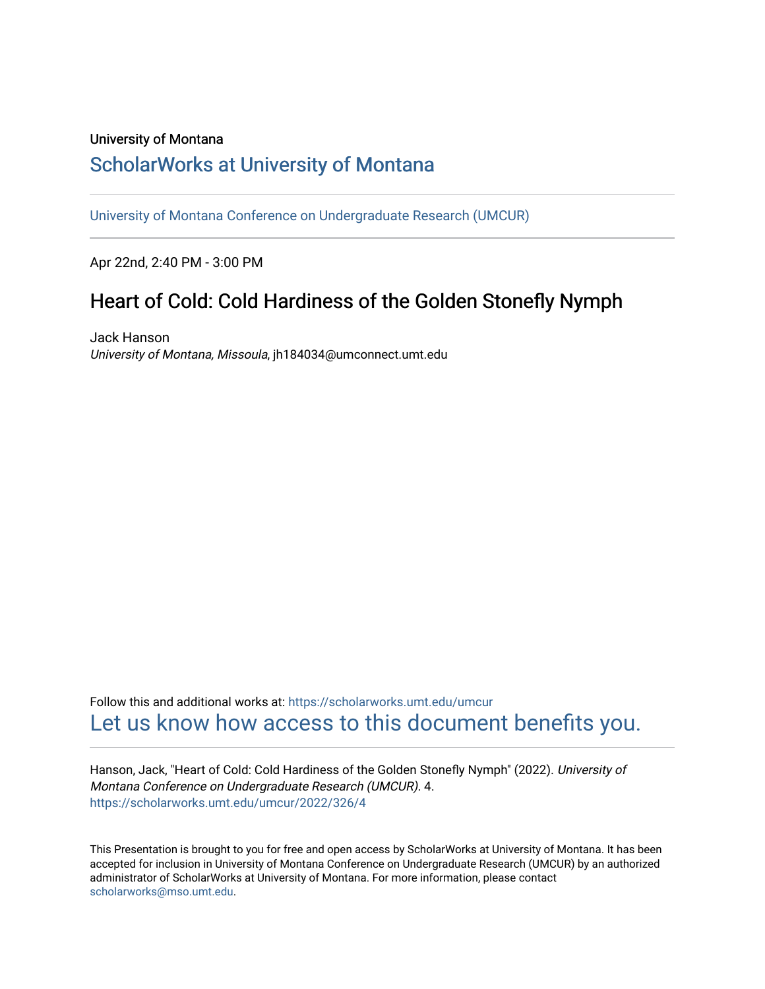#### University of Montana

## [ScholarWorks at University of Montana](https://scholarworks.umt.edu/)

[University of Montana Conference on Undergraduate Research \(UMCUR\)](https://scholarworks.umt.edu/umcur)

Apr 22nd, 2:40 PM - 3:00 PM

# Heart of Cold: Cold Hardiness of the Golden Stonefly Nymph

Jack Hanson University of Montana, Missoula, jh184034@umconnect.umt.edu

Follow this and additional works at: [https://scholarworks.umt.edu/umcur](https://scholarworks.umt.edu/umcur?utm_source=scholarworks.umt.edu%2Fumcur%2F2022%2F326%2F4&utm_medium=PDF&utm_campaign=PDFCoverPages)  [Let us know how access to this document benefits you.](https://goo.gl/forms/s2rGfXOLzz71qgsB2) 

Hanson, Jack, "Heart of Cold: Cold Hardiness of the Golden Stonefly Nymph" (2022). University of Montana Conference on Undergraduate Research (UMCUR). 4. [https://scholarworks.umt.edu/umcur/2022/326/4](https://scholarworks.umt.edu/umcur/2022/326/4?utm_source=scholarworks.umt.edu%2Fumcur%2F2022%2F326%2F4&utm_medium=PDF&utm_campaign=PDFCoverPages)

This Presentation is brought to you for free and open access by ScholarWorks at University of Montana. It has been accepted for inclusion in University of Montana Conference on Undergraduate Research (UMCUR) by an authorized administrator of ScholarWorks at University of Montana. For more information, please contact [scholarworks@mso.umt.edu.](mailto:scholarworks@mso.umt.edu)